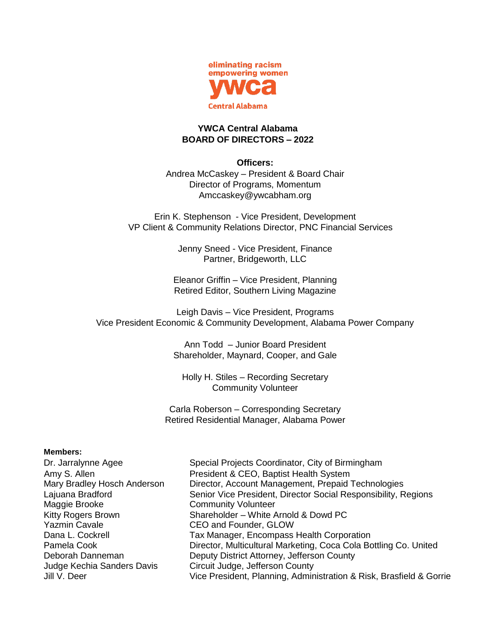

## **YWCA Central Alabama BOARD OF DIRECTORS – 2022**

## **Officers:**

Andrea McCaskey – President & Board Chair Director of Programs, Momentum [Amccaskey@ywcabham.org](mailto:Amccaskey@ywcabham.org)

Erin K. Stephenson - Vice President, Development VP Client & Community Relations Director, PNC Financial Services

> Jenny Sneed - Vice President, Finance Partner, Bridgeworth, LLC

Eleanor Griffin – Vice President, Planning Retired Editor, Southern Living Magazine

Leigh Davis – Vice President, Programs Vice President Economic & Community Development, Alabama Power Company

> Ann Todd – Junior Board President Shareholder, Maynard, Cooper, and Gale

Holly H. Stiles – Recording Secretary Community Volunteer

Carla Roberson – Corresponding Secretary Retired Residential Manager, Alabama Power

## **Members:**

| Special Projects Coordinator, City of Birmingham                    |
|---------------------------------------------------------------------|
| President & CEO, Baptist Health System                              |
| Director, Account Management, Prepaid Technologies                  |
| Senior Vice President, Director Social Responsibility, Regions      |
| <b>Community Volunteer</b>                                          |
| Shareholder - White Arnold & Dowd PC                                |
| CEO and Founder, GLOW                                               |
| Tax Manager, Encompass Health Corporation                           |
| Director, Multicultural Marketing, Coca Cola Bottling Co. United    |
| Deputy District Attorney, Jefferson County                          |
| Circuit Judge, Jefferson County                                     |
| Vice President, Planning, Administration & Risk, Brasfield & Gorrie |
|                                                                     |